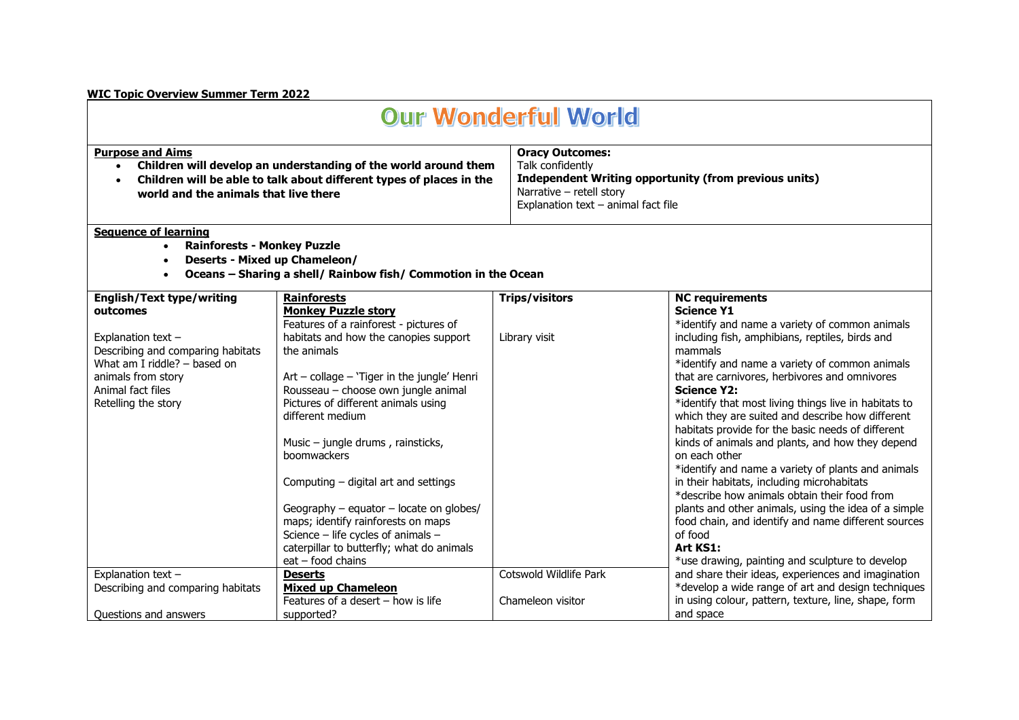## **WIC Topic Overview Summer Term 2022**

## **Our Wonderful World**

Explanation text  $-$  animal fact file

| <b>Purpose and Aims</b> |                                                                      | <b>Oracy Outcomes:</b>                                |  |
|-------------------------|----------------------------------------------------------------------|-------------------------------------------------------|--|
|                         | Children will develop an understanding of the world around them      | Talk confidently                                      |  |
|                         | Children will be able to talk about different types of places in the | Independent Writing opportunity (from previous units) |  |
|                         | world and the animals that live there                                | Narrative – retell story                              |  |

## **Sequence of learning**

- **Rainforests - Monkey Puzzle**
- **Deserts - Mixed up Chameleon/**
- **Oceans – Sharing a shell/ Rainbow fish/ Commotion in the Ocean**

| <b>English/Text type/writing</b>  | <b>Rainforests</b>                          | <b>Trips/visitors</b>  | <b>NC requirements</b>                                |
|-----------------------------------|---------------------------------------------|------------------------|-------------------------------------------------------|
| outcomes                          | <b>Monkey Puzzle story</b>                  |                        | <b>Science Y1</b>                                     |
|                                   | Features of a rainforest - pictures of      |                        | *identify and name a variety of common animals        |
| Explanation text -                | habitats and how the canopies support       | Library visit          | including fish, amphibians, reptiles, birds and       |
| Describing and comparing habitats | the animals                                 |                        | mammals                                               |
| What am I riddle? - based on      |                                             |                        | *identify and name a variety of common animals        |
| animals from story                | Art – collage – 'Tiger in the jungle' Henri |                        | that are carnivores, herbivores and omnivores         |
| Animal fact files                 | Rousseau - choose own jungle animal         |                        | <b>Science Y2:</b>                                    |
| Retelling the story               | Pictures of different animals using         |                        | *identify that most living things live in habitats to |
|                                   | different medium                            |                        | which they are suited and describe how different      |
|                                   |                                             |                        | habitats provide for the basic needs of different     |
|                                   | Music – jungle drums, rainsticks,           |                        | kinds of animals and plants, and how they depend      |
|                                   | <b>boomwackers</b>                          |                        | on each other                                         |
|                                   |                                             |                        | *identify and name a variety of plants and animals    |
|                                   | Computing – digital art and settings        |                        | in their habitats, including microhabitats            |
|                                   |                                             |                        | *describe how animals obtain their food from          |
|                                   | Geography $-$ equator $-$ locate on globes/ |                        | plants and other animals, using the idea of a simple  |
|                                   | maps; identify rainforests on maps          |                        | food chain, and identify and name different sources   |
|                                   | Science - life cycles of animals -          |                        | of food                                               |
|                                   | caterpillar to butterfly; what do animals   |                        | Art KS1:                                              |
|                                   | $eat - food chains$                         |                        | *use drawing, painting and sculpture to develop       |
| Explanation text $-$              | Deserts                                     | Cotswold Wildlife Park | and share their ideas, experiences and imagination    |
| Describing and comparing habitats | <b>Mixed up Chameleon</b>                   |                        | *develop a wide range of art and design techniques    |
|                                   | Features of a desert $-$ how is life        | Chameleon visitor      | in using colour, pattern, texture, line, shape, form  |
| Questions and answers             | supported?                                  |                        | and space                                             |